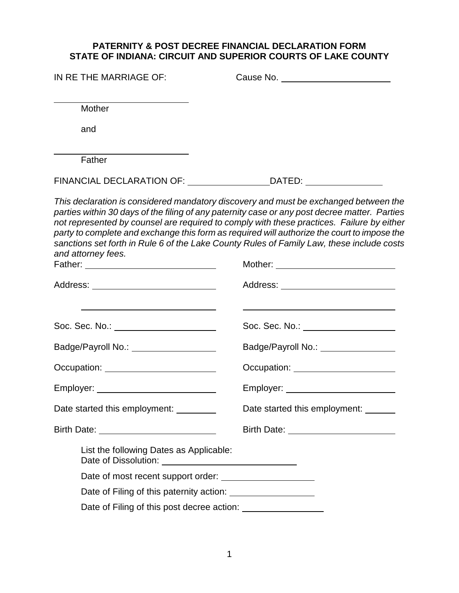### **PATERNITY & POST DECREE FINANCIAL DECLARATION FORM STATE OF INDIANA: CIRCUIT AND SUPERIOR COURTS OF LAKE COUNTY**

| IN RE THE MARRIAGE OF:                                                                                                                                                                                                         | Cause No. _________________________                                                                                                                                                                                                                                                                                                                                                                                                                                            |  |  |  |
|--------------------------------------------------------------------------------------------------------------------------------------------------------------------------------------------------------------------------------|--------------------------------------------------------------------------------------------------------------------------------------------------------------------------------------------------------------------------------------------------------------------------------------------------------------------------------------------------------------------------------------------------------------------------------------------------------------------------------|--|--|--|
| Mother                                                                                                                                                                                                                         |                                                                                                                                                                                                                                                                                                                                                                                                                                                                                |  |  |  |
| and                                                                                                                                                                                                                            |                                                                                                                                                                                                                                                                                                                                                                                                                                                                                |  |  |  |
| Father                                                                                                                                                                                                                         |                                                                                                                                                                                                                                                                                                                                                                                                                                                                                |  |  |  |
|                                                                                                                                                                                                                                | FINANCIAL DECLARATION OF: ______________________________DATED: _________________                                                                                                                                                                                                                                                                                                                                                                                               |  |  |  |
| and attorney fees.                                                                                                                                                                                                             | This declaration is considered mandatory discovery and must be exchanged between the<br>parties within 30 days of the filing of any paternity case or any post decree matter. Parties<br>not represented by counsel are required to comply with these practices. Failure by either<br>party to complete and exchange this form as required will authorize the court to impose the<br>sanctions set forth in Rule 6 of the Lake County Rules of Family Law, these include costs |  |  |  |
| Address: _________________________________                                                                                                                                                                                     | Address: ____________________________                                                                                                                                                                                                                                                                                                                                                                                                                                          |  |  |  |
| Soc. Sec. No.: ________________________                                                                                                                                                                                        | Soc. Sec. No.: ____________________                                                                                                                                                                                                                                                                                                                                                                                                                                            |  |  |  |
| Badge/Payroll No.: ___________________                                                                                                                                                                                         | Badge/Payroll No.: \\connection materials are connected:                                                                                                                                                                                                                                                                                                                                                                                                                       |  |  |  |
| Occupation: Network of Contract of Contract of Contract of Contract of Contract of Contract of Contract of Contract of Contract of Contract of Contract of Contract of Contract of Contract of Contract of Contract of Contrac | Occupation: _________________________                                                                                                                                                                                                                                                                                                                                                                                                                                          |  |  |  |
| Employer: ____________________________                                                                                                                                                                                         | Employer: _________________________                                                                                                                                                                                                                                                                                                                                                                                                                                            |  |  |  |
| Date started this employment: _________                                                                                                                                                                                        | Date started this employment:                                                                                                                                                                                                                                                                                                                                                                                                                                                  |  |  |  |
|                                                                                                                                                                                                                                | Birth Date: _________________________                                                                                                                                                                                                                                                                                                                                                                                                                                          |  |  |  |
| List the following Dates as Applicable:                                                                                                                                                                                        |                                                                                                                                                                                                                                                                                                                                                                                                                                                                                |  |  |  |
|                                                                                                                                                                                                                                |                                                                                                                                                                                                                                                                                                                                                                                                                                                                                |  |  |  |
| Date of Filing of this paternity action: _____________________                                                                                                                                                                 |                                                                                                                                                                                                                                                                                                                                                                                                                                                                                |  |  |  |

Date of Filing of this post decree action: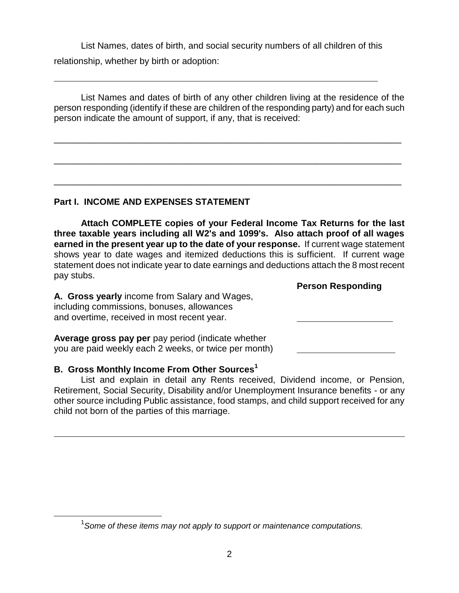List Names, dates of birth, and social security numbers of all children of this relationship, whether by birth or adoption:

List Names and dates of birth of any other children living at the residence of the person responding (identify if these are children of the responding party) and for each such person indicate the amount of support, if any, that is received:

\_\_\_\_\_\_\_\_\_\_\_\_\_\_\_\_\_\_\_\_\_\_\_\_\_\_\_\_\_\_\_\_\_\_\_\_\_\_\_\_\_\_\_\_\_\_\_\_\_\_\_\_\_\_\_\_\_\_\_\_\_\_\_\_\_\_\_\_\_

\_\_\_\_\_\_\_\_\_\_\_\_\_\_\_\_\_\_\_\_\_\_\_\_\_\_\_\_\_\_\_\_\_\_\_\_\_\_\_\_\_\_\_\_\_\_\_\_\_\_\_\_\_\_\_\_\_\_\_\_\_\_\_\_\_\_\_\_\_

\_\_\_\_\_\_\_\_\_\_\_\_\_\_\_\_\_\_\_\_\_\_\_\_\_\_\_\_\_\_\_\_\_\_\_\_\_\_\_\_\_\_\_\_\_\_\_\_\_\_\_\_\_\_\_\_\_\_\_\_\_\_\_\_\_\_\_\_\_

# **Part I. INCOME AND EXPENSES STATEMENT**

l

 $\overline{a}$ 

**Attach COMPLETE copies of your Federal Income Tax Returns for the last three taxable years including all W2's and 1099's. Also attach proof of all wages earned in the present year up to the date of your response.** If current wage statement shows year to date wages and itemized deductions this is sufficient. If current wage statement does not indicate year to date earnings and deductions attach the 8 most recent pay stubs.

**Person Responding**

**A. Gross yearly** income from Salary and Wages, including commissions, bonuses, allowances and overtime, received in most recent year.

**Average gross pay per** pay period (indicate whether you are paid weekly each 2 weeks, or twice per month)

### **B. Gross Monthly Income From Other Sources<sup>1</sup>**

List and explain in detail any Rents received, Dividend income, or Pension, Retirement, Social Security, Disability and/or Unemployment Insurance benefits - or any other source including Public assistance, food stamps, and child support received for any child not born of the parties of this marriage.

<sup>1</sup> *Some of these items may not apply to support or maintenance computations.*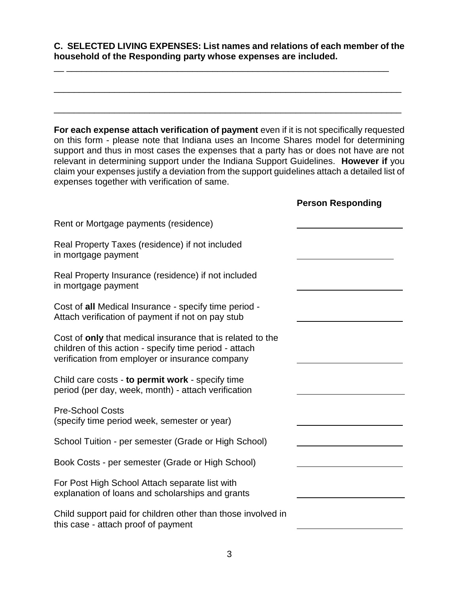**C. SELECTED LIVING EXPENSES: List names and relations of each member of the household of the Responding party whose expenses are included.**

\_\_\_\_\_\_\_\_\_\_\_\_\_\_\_\_\_\_\_\_\_\_\_\_\_\_\_\_\_\_\_\_\_\_\_\_\_\_\_\_\_\_\_\_\_\_\_\_\_\_\_\_\_\_\_\_\_\_\_\_\_\_\_\_\_\_\_\_\_

\_\_\_\_\_\_\_\_\_\_\_\_\_\_\_\_\_\_\_\_\_\_\_\_\_\_\_\_\_\_\_\_\_\_\_\_\_\_\_\_\_\_\_\_\_\_\_\_\_\_\_\_\_\_\_\_\_\_\_\_\_\_\_\_\_\_\_\_\_

\_\_ \_\_\_\_\_\_\_\_\_\_\_\_\_\_\_\_\_\_\_\_\_\_\_\_\_\_\_\_\_\_\_\_\_\_\_\_\_\_\_\_\_\_\_\_\_\_\_\_\_\_\_\_\_\_\_\_\_\_\_\_\_\_\_\_

For each expense attach verification of payment even if it is not specifically requested on this form - please note that Indiana uses an Income Shares model for determining support and thus in most cases the expenses that a party has or does not have are not relevant in determining support under the Indiana Support Guidelines. **However if** you claim your expenses justify a deviation from the support guidelines attach a detailed list of expenses together with verification of same.

**Person Responding**

|                                                                                                                                                                         | 91 9911 1199 politani <u>g</u> |
|-------------------------------------------------------------------------------------------------------------------------------------------------------------------------|--------------------------------|
| Rent or Mortgage payments (residence)                                                                                                                                   |                                |
| Real Property Taxes (residence) if not included<br>in mortgage payment                                                                                                  |                                |
| Real Property Insurance (residence) if not included<br>in mortgage payment                                                                                              |                                |
| Cost of all Medical Insurance - specify time period -<br>Attach verification of payment if not on pay stub                                                              |                                |
| Cost of only that medical insurance that is related to the<br>children of this action - specify time period - attach<br>verification from employer or insurance company |                                |
| Child care costs - to permit work - specify time<br>period (per day, week, month) - attach verification                                                                 |                                |
| <b>Pre-School Costs</b><br>(specify time period week, semester or year)                                                                                                 |                                |
| School Tuition - per semester (Grade or High School)                                                                                                                    |                                |
| Book Costs - per semester (Grade or High School)                                                                                                                        |                                |
| For Post High School Attach separate list with<br>explanation of loans and scholarships and grants                                                                      |                                |
| Child support paid for children other than those involved in<br>this case - attach proof of payment                                                                     |                                |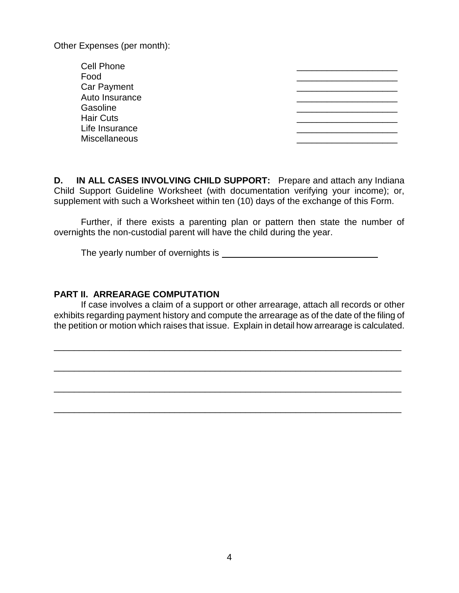Other Expenses (per month):

| <b>Cell Phone</b>    |  |
|----------------------|--|
| Food                 |  |
| <b>Car Payment</b>   |  |
| Auto Insurance       |  |
| Gasoline             |  |
| <b>Hair Cuts</b>     |  |
| Life Insurance       |  |
| <b>Miscellaneous</b> |  |
|                      |  |

**D. IN ALL CASES INVOLVING CHILD SUPPORT:** Prepare and attach any Indiana Child Support Guideline Worksheet (with documentation verifying your income); or, supplement with such a Worksheet within ten (10) days of the exchange of this Form.

Further, if there exists a parenting plan or pattern then state the number of overnights the non-custodial parent will have the child during the year.

The yearly number of overnights is

#### **PART II. ARREARAGE COMPUTATION**

If case involves a claim of a support or other arrearage, attach all records or other exhibits regarding payment history and compute the arrearage as of the date of the filing of the petition or motion which raises that issue. Explain in detail how arrearage is calculated.

\_\_\_\_\_\_\_\_\_\_\_\_\_\_\_\_\_\_\_\_\_\_\_\_\_\_\_\_\_\_\_\_\_\_\_\_\_\_\_\_\_\_\_\_\_\_\_\_\_\_\_\_\_\_\_\_\_\_\_\_\_\_\_\_\_\_\_\_\_

\_\_\_\_\_\_\_\_\_\_\_\_\_\_\_\_\_\_\_\_\_\_\_\_\_\_\_\_\_\_\_\_\_\_\_\_\_\_\_\_\_\_\_\_\_\_\_\_\_\_\_\_\_\_\_\_\_\_\_\_\_\_\_\_\_\_\_\_\_

\_\_\_\_\_\_\_\_\_\_\_\_\_\_\_\_\_\_\_\_\_\_\_\_\_\_\_\_\_\_\_\_\_\_\_\_\_\_\_\_\_\_\_\_\_\_\_\_\_\_\_\_\_\_\_\_\_\_\_\_\_\_\_\_\_\_\_\_\_

\_\_\_\_\_\_\_\_\_\_\_\_\_\_\_\_\_\_\_\_\_\_\_\_\_\_\_\_\_\_\_\_\_\_\_\_\_\_\_\_\_\_\_\_\_\_\_\_\_\_\_\_\_\_\_\_\_\_\_\_\_\_\_\_\_\_\_\_\_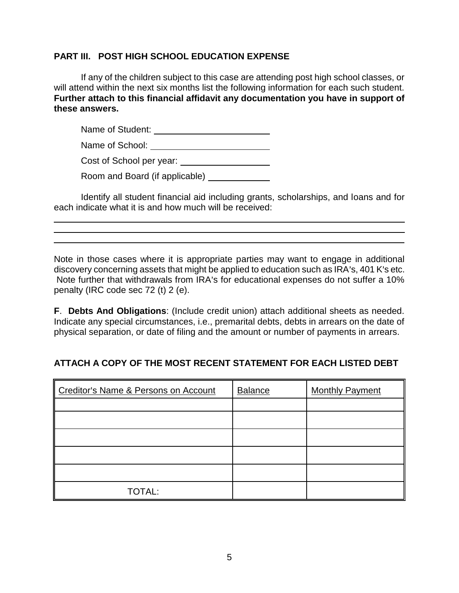### **PART III. POST HIGH SCHOOL EDUCATION EXPENSE**

If any of the children subject to this case are attending post high school classes, or will attend within the next six months list the following information for each such student. **Further attach to this financial affidavit any documentation you have in support of these answers.**

Name of Student:

Name of School:

Cost of School per year:

l  $\overline{a}$  $\overline{a}$  Room and Board (if applicable) \_\_\_\_\_\_\_\_\_\_\_\_\_

Identify all student financial aid including grants, scholarships, and loans and for each indicate what it is and how much will be received:

Note in those cases where it is appropriate parties may want to engage in additional discovery concerning assets that might be applied to education such as IRA's, 401 K's etc. Note further that withdrawals from IRA's for educational expenses do not suffer a 10% penalty (IRC code sec 72 (t) 2 (e).

**F**. **Debts And Obligations**: (Include credit union) attach additional sheets as needed. Indicate any special circumstances, i.e., premarital debts, debts in arrears on the date of physical separation, or date of filing and the amount or number of payments in arrears.

# **ATTACH A COPY OF THE MOST RECENT STATEMENT FOR EACH LISTED DEBT**

| Creditor's Name & Persons on Account | <b>Balance</b> | <b>Monthly Payment</b> |
|--------------------------------------|----------------|------------------------|
|                                      |                |                        |
|                                      |                |                        |
|                                      |                |                        |
|                                      |                |                        |
|                                      |                |                        |
| <b>TOTAL:</b>                        |                |                        |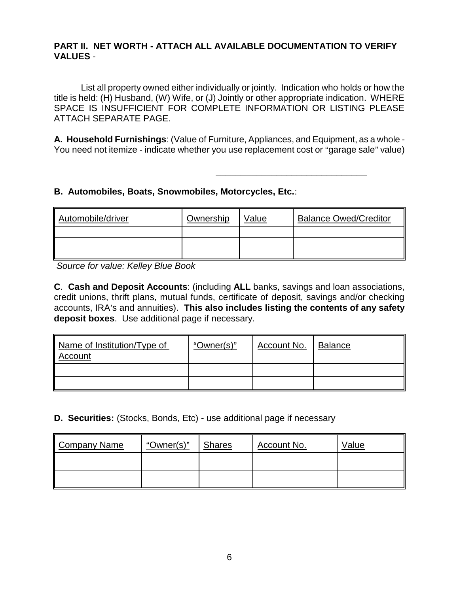### **PART II. NET WORTH - ATTACH ALL AVAILABLE DOCUMENTATION TO VERIFY VALUES** -

List all property owned either individually or jointly. Indication who holds or how the title is held: (H) Husband, (W) Wife, or (J) Jointly or other appropriate indication. WHERE SPACE IS INSUFFICIENT FOR COMPLETE INFORMATION OR LISTING PLEASE ATTACH SEPARATE PAGE.

**A. Household Furnishings**: (Value of Furniture, Appliances, and Equipment, as a whole - You need not itemize - indicate whether you use replacement cost or "garage sale" value)

\_\_\_\_\_\_\_\_\_\_\_\_\_\_\_\_\_\_\_\_\_\_\_\_\_\_\_\_\_\_

### **B. Automobiles, Boats, Snowmobiles, Motorcycles, Etc.**:

| Automobile/driver | Ownership | Value | <b>Balance Owed/Creditor</b> |
|-------------------|-----------|-------|------------------------------|
|                   |           |       |                              |
|                   |           |       |                              |
|                   |           |       |                              |

*Source for value: Kelley Blue Book* 

**C**. **Cash and Deposit Accounts**: (including **ALL** banks, savings and loan associations, credit unions, thrift plans, mutual funds, certificate of deposit, savings and/or checking accounts, IRA's and annuities). This also includes listing the contents of any safety **deposit boxes**. Use additional page if necessary.

| Name of Institution/Type of<br>Account | "Owner(s)" | Account No. | <b>Balance</b> |
|----------------------------------------|------------|-------------|----------------|
|                                        |            |             |                |
|                                        |            |             |                |

**D. Securities:** (Stocks, Bonds, Etc) - use additional page if necessary

| Company Name | "Owner(s)" | <b>Shares</b> | Account No. | Value |
|--------------|------------|---------------|-------------|-------|
|              |            |               |             |       |
|              |            |               |             |       |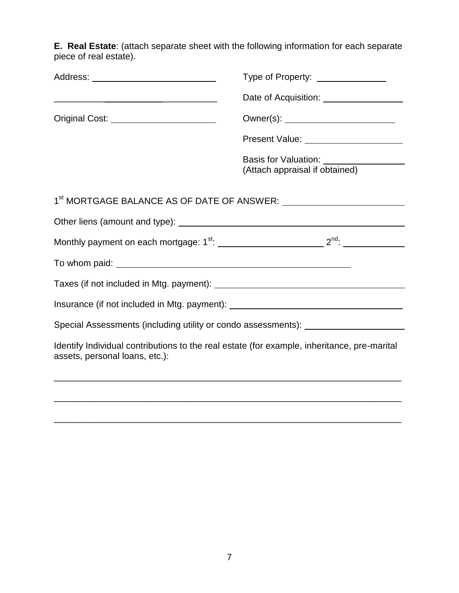**E. Real Estate**: (attach separate sheet with the following information for each separate piece of real estate).

| Address: ________________________________                                                                                     | Type of Property: _______________       |  |  |
|-------------------------------------------------------------------------------------------------------------------------------|-----------------------------------------|--|--|
| <u> 2000 - Jan James James Jan James James James James James James James James James James James James James Jam</u>          | Date of Acquisition: __________________ |  |  |
| Original Cost: <u>_______________________</u>                                                                                 |                                         |  |  |
|                                                                                                                               | Present Value: ________________________ |  |  |
|                                                                                                                               |                                         |  |  |
| 1 <sup>st</sup> MORTGAGE BALANCE AS OF DATE OF ANSWER: ___________________________________                                    |                                         |  |  |
| Other liens (amount and type): <u>contained and proportional</u> contained and type):                                         |                                         |  |  |
|                                                                                                                               |                                         |  |  |
|                                                                                                                               |                                         |  |  |
|                                                                                                                               |                                         |  |  |
| Insurance (if not included in Mtg. payment): ___________________________________                                              |                                         |  |  |
| Special Assessments (including utility or condo assessments): __________________                                              |                                         |  |  |
| Identify Individual contributions to the real estate (for example, inheritance, pre-marital<br>assets, personal loans, etc.): |                                         |  |  |
|                                                                                                                               |                                         |  |  |

\_\_\_\_\_\_\_\_\_\_\_\_\_\_\_\_\_\_\_\_\_\_\_\_\_\_\_\_\_\_\_\_\_\_\_\_\_\_\_\_\_\_\_\_\_\_\_\_\_\_\_\_\_\_\_\_\_\_\_\_\_\_\_\_\_\_\_\_\_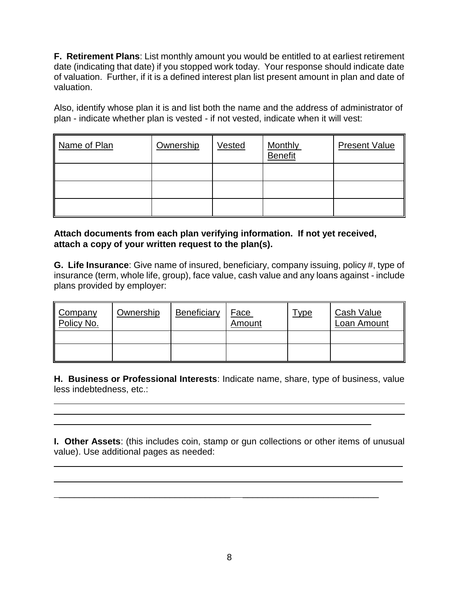**F. Retirement Plans**: List monthly amount you would be entitled to at earliest retirement date (indicating that date) if you stopped work today. Your response should indicate date of valuation. Further, if it is a defined interest plan list present amount in plan and date of valuation.

Also, identify whose plan it is and list both the name and the address of administrator of plan - indicate whether plan is vested - if not vested, indicate when it will vest:

| Name of Plan | Ownership | Vested | <b>Monthly</b><br><b>Benefit</b> | <b>Present Value</b> |
|--------------|-----------|--------|----------------------------------|----------------------|
|              |           |        |                                  |                      |
|              |           |        |                                  |                      |
|              |           |        |                                  |                      |

### **Attach documents from each plan verifying information. If not yet received, attach a copy of your written request to the plan(s).**

**G. Life Insurance**: Give name of insured, beneficiary, company issuing, policy #, type of insurance (term, whole life, group), face value, cash value and any loans against - include plans provided by employer:

| Company<br>Policy No. | Ownership | Beneficiary | <u>Face</u><br>Amount | <u>Type</u> | Cash Value<br>Loan Amount |
|-----------------------|-----------|-------------|-----------------------|-------------|---------------------------|
|                       |           |             |                       |             |                           |
|                       |           |             |                       |             |                           |

**H. Business or Professional Interests**: Indicate name, share, type of business, value less indebtedness, etc.:

l

l

 $\overline{a}$ 

**I. Other Assets**: (this includes coin, stamp or gun collections or other items of unusual value). Use additional pages as needed:

 $\overline{\phantom{a}}$  , and the contract of the contract of the contract of the contract of the contract of the contract of the contract of the contract of the contract of the contract of the contract of the contract of the contrac

 $\_$